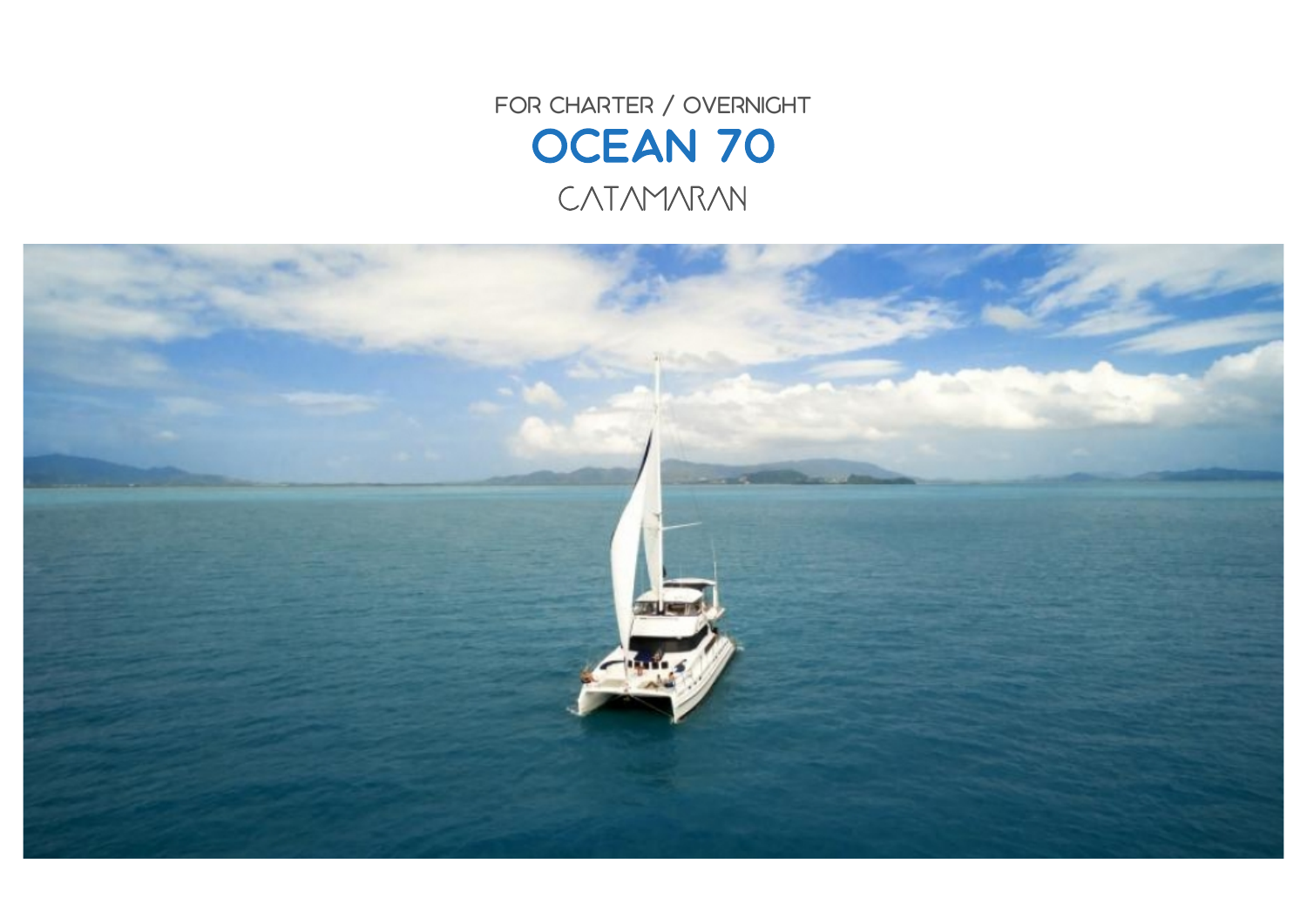FOR CHARTER / OVERNIGHT OCEAN 70 CATAMARAN

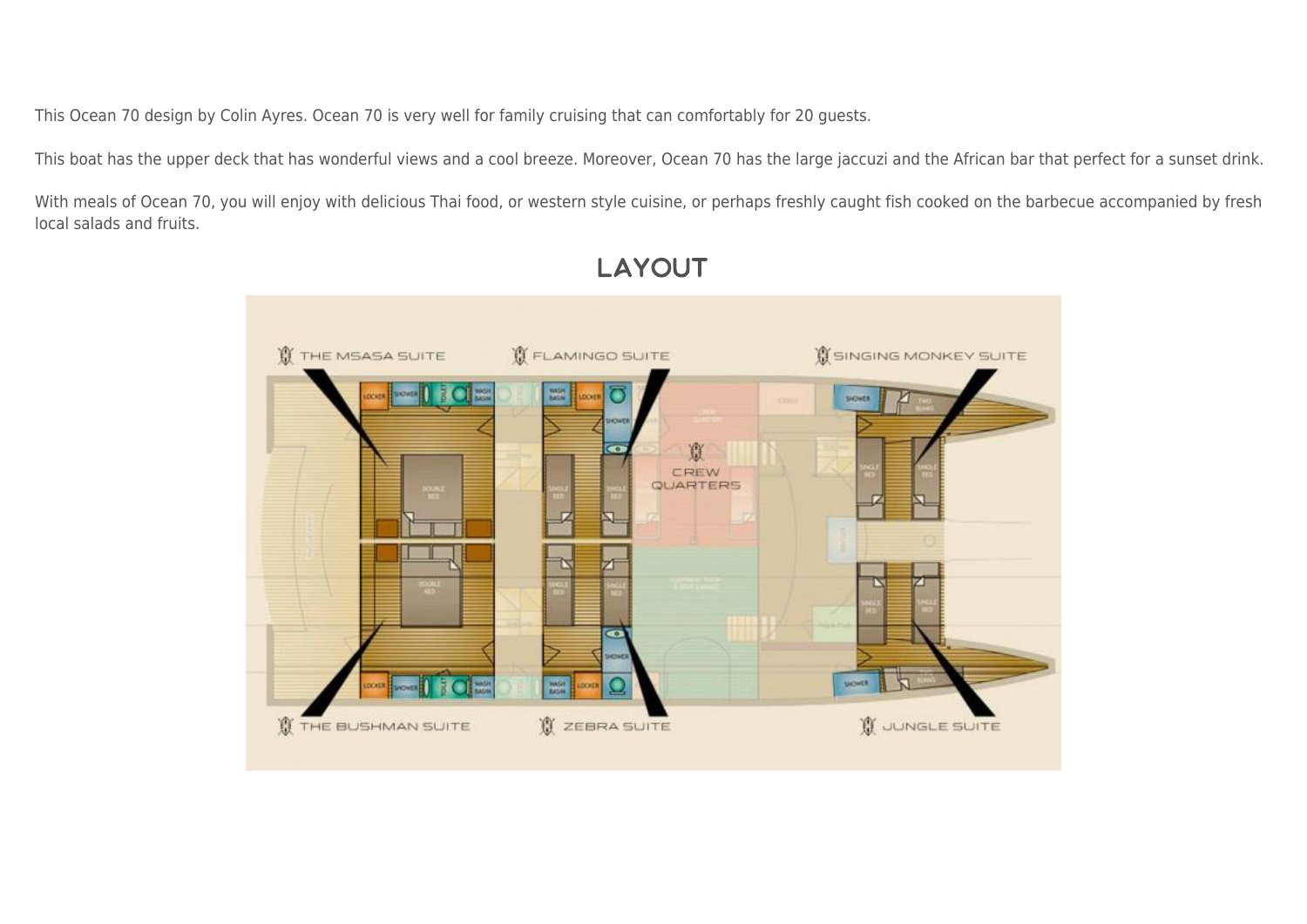This Ocean 70 design by Colin Ayres. Ocean 70 is very well for family cruising that can comfortably for 20 guests.

This boat has the upper deck that has wonderful views and a cool breeze. Moreover, Ocean 70 has the large jaccuzi and the African bar that perfect for a sunset drink.

With meals of Ocean 70, you will enjoy with delicious Thai food, or western style cuisine, or perhaps freshly caught fish cooked on the barbecue accompanied by fresh local salads and fruits.



## **LAYOUT**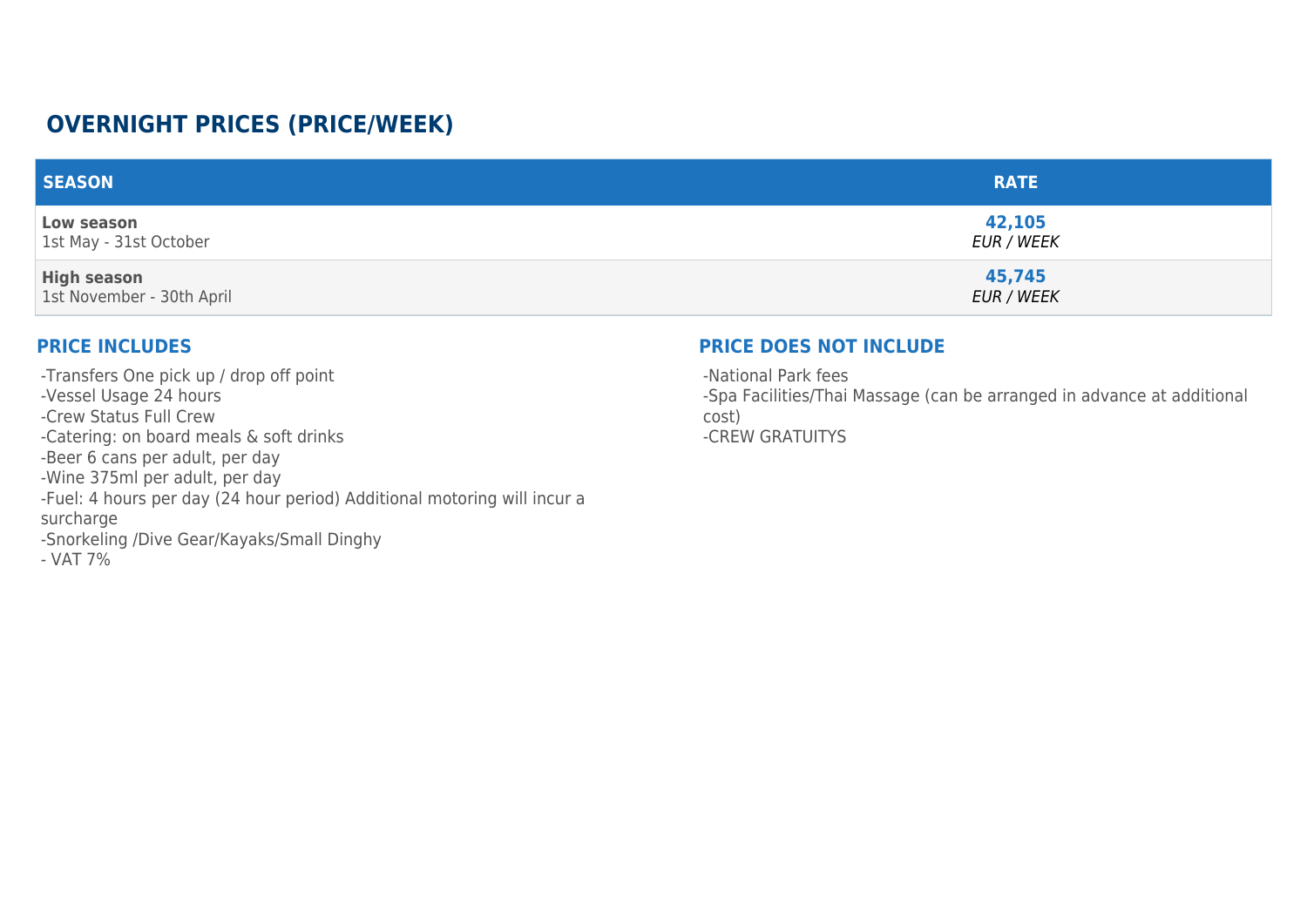## **OVERNIGHT PRICES (PRICE/WEEK)**

| <b>SEASON</b>                                   | <b>RATE</b>                 |
|-------------------------------------------------|-----------------------------|
| Low season<br>1st May - 31st October            | 42,105<br><b>EUR / WEEK</b> |
| <b>High season</b><br>1st November - 30th April | 45,745<br><b>EUR / WEEK</b> |

## **PRICE INCLUDES**

-Transfers One pick up / drop off point -Vessel Usage 24 hours -Crew Status Full Crew -Catering: on board meals & soft drinks -Beer 6 cans per adult, per day -Wine 375ml per adult, per day -Fuel: 4 hours per day (24 hour period) Additional motoring will incur a surcharge -Snorkeling /Dive Gear/Kayaks/Small Dinghy - VAT 7%

## **PRICE DOES NOT INCLUDE**

-National Park fees -Spa Facilities/Thai Massage (can be arranged in advance at additional cost) -CREW GRATUITYS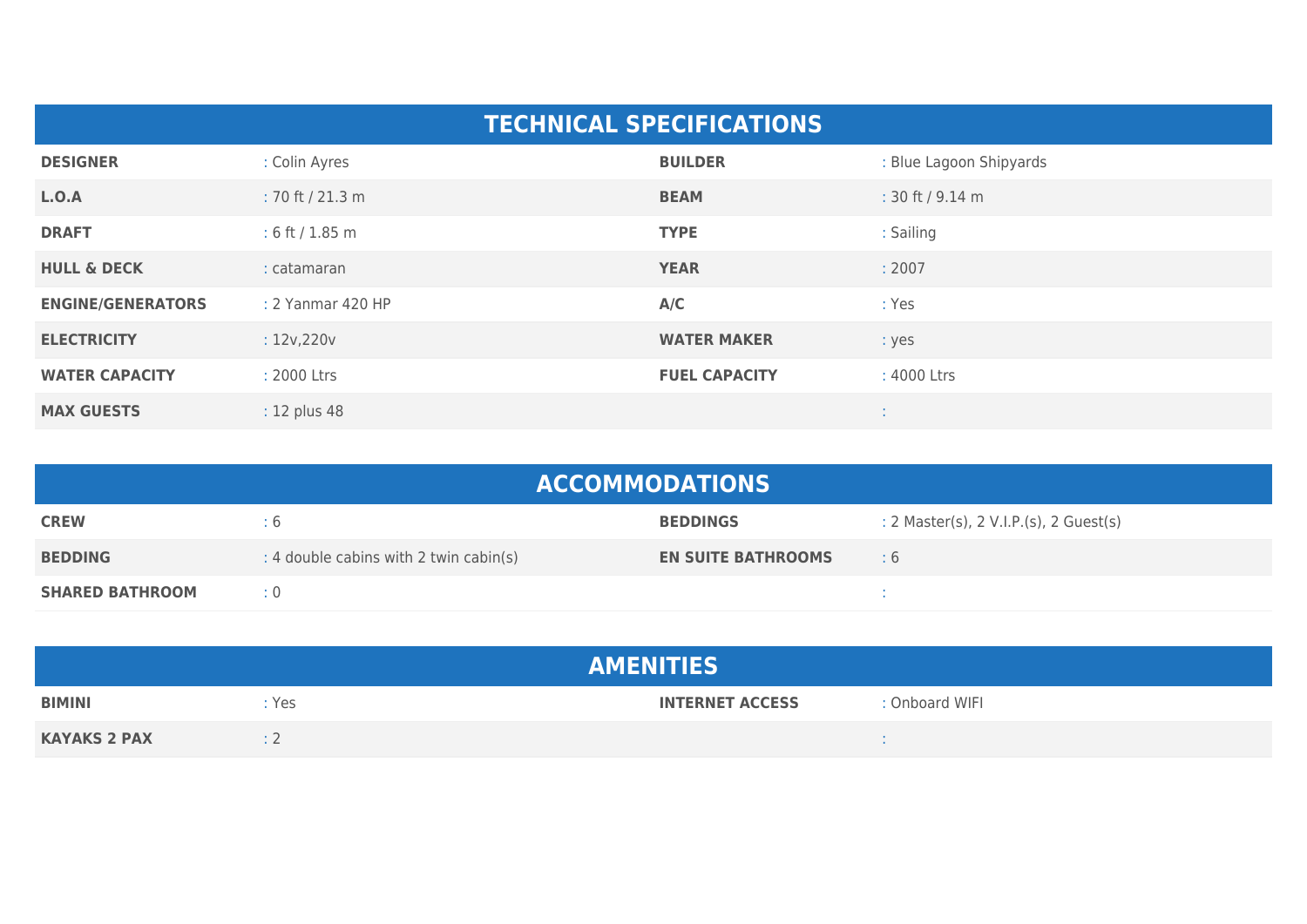| <b>TECHNICAL SPECIFICATIONS</b> |                    |                      |                         |  |  |
|---------------------------------|--------------------|----------------------|-------------------------|--|--|
| <b>DESIGNER</b>                 | : Colin Ayres      | <b>BUILDER</b>       | : Blue Lagoon Shipyards |  |  |
| L.O.A                           | $: 70$ ft / 21.3 m | <b>BEAM</b>          | : 30 ft / 9.14 m        |  |  |
| <b>DRAFT</b>                    | : 6 ft / $1.85$ m  | <b>TYPE</b>          | : Sailing               |  |  |
| <b>HULL &amp; DECK</b>          | : catamaran        | <b>YEAR</b>          | : 2007                  |  |  |
| <b>ENGINE/GENERATORS</b>        | : 2 Yanmar 420 HP  | A/C                  | : Yes                   |  |  |
| <b>ELECTRICITY</b>              | : 12v, 220v        | <b>WATER MAKER</b>   | : yes                   |  |  |
| <b>WATER CAPACITY</b>           | : 2000 Ltrs        | <b>FUEL CAPACITY</b> | : 4000 Ltrs             |  |  |
| <b>MAX GUESTS</b>               | : 12 plus 48       |                      |                         |  |  |

| <b>ACCOMMODATIONS</b>  |                                        |                           |                                            |  |  |
|------------------------|----------------------------------------|---------------------------|--------------------------------------------|--|--|
| <b>CREW</b>            | ÷б                                     | <b>BEDDINGS</b>           | : 2 Master(s), $2$ V.I.P.(s), $2$ Guest(s) |  |  |
| <b>BEDDING</b>         | : 4 double cabins with 2 twin cabin(s) | <b>EN SUITE BATHROOMS</b> | $\pm 6$                                    |  |  |
| <b>SHARED BATHROOM</b> | $\div 0$                               |                           |                                            |  |  |

| <b>AMENITIES</b>    |       |                        |                |  |
|---------------------|-------|------------------------|----------------|--|
| <b>BIMINI</b>       | : Yes | <b>INTERNET ACCESS</b> | : Onboard WIFI |  |
| <b>KAYAKS 2 PAX</b> |       |                        |                |  |